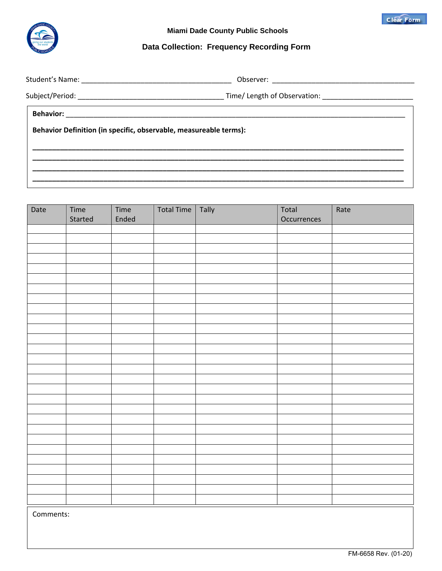

# **Data Collection: Frequency Recording Form**

Student's Name: \_\_\_\_\_\_\_\_\_\_\_\_\_\_\_\_\_\_\_\_\_\_\_\_\_\_\_\_\_\_\_\_\_\_\_\_\_\_ Observer: \_\_\_\_\_\_\_\_\_\_\_\_\_\_\_\_\_\_\_\_\_\_\_\_\_\_\_\_\_\_\_\_\_\_\_\_

**\_\_\_\_\_\_\_\_\_\_\_\_\_\_\_\_\_\_\_\_\_\_\_\_\_\_\_\_\_\_\_\_\_\_\_\_\_\_\_\_\_\_\_\_\_\_\_\_\_\_\_\_\_\_\_\_\_\_\_\_\_\_\_\_\_\_\_\_\_\_\_\_\_\_\_\_\_\_\_\_\_\_\_\_\_\_\_\_\_\_\_\_\_\_ \_\_\_\_\_\_\_\_\_\_\_\_\_\_\_\_\_\_\_\_\_\_\_\_\_\_\_\_\_\_\_\_\_\_\_\_\_\_\_\_\_\_\_\_\_\_\_\_\_\_\_\_\_\_\_\_\_\_\_\_\_\_\_\_\_\_\_\_\_\_\_\_\_\_\_\_\_\_\_\_\_\_\_\_\_\_\_\_\_\_\_\_\_\_**

**\_\_\_\_\_\_\_\_\_\_\_\_\_\_\_\_\_\_\_\_\_\_\_\_\_\_\_\_\_\_\_\_\_\_\_\_\_\_\_\_\_\_\_\_\_\_\_\_\_\_\_\_\_\_\_\_\_\_\_\_\_\_\_\_\_\_\_\_\_\_\_\_\_\_\_\_\_\_\_\_\_\_\_\_\_\_\_\_\_\_\_\_\_\_**

Subject/Period: \_\_\_\_\_\_\_\_\_\_\_\_\_\_\_\_\_\_\_\_\_\_\_\_\_\_\_\_\_\_\_\_\_\_\_\_\_ Time/ Length of Observation: \_\_\_\_\_\_\_\_\_\_\_\_\_\_\_\_\_\_\_\_\_\_\_

**Behavior:** \_\_\_\_\_\_\_\_\_\_\_\_\_\_\_\_\_\_\_\_\_\_\_\_\_\_\_\_\_\_\_\_\_\_\_\_\_\_\_\_\_\_\_\_\_\_\_\_\_\_\_\_\_\_\_\_\_\_\_\_\_\_\_\_\_\_\_\_\_\_\_\_\_\_\_\_\_\_\_\_\_\_\_\_\_\_

**Behavior Definition (in specific, observable, measureable terms):** 

**\_\_\_\_\_\_\_\_\_\_\_\_\_\_\_\_\_\_\_\_\_\_\_\_\_\_\_\_\_\_\_\_\_\_\_\_\_\_\_\_\_\_\_\_\_\_\_\_\_\_\_\_\_\_\_\_\_\_\_\_\_\_\_\_\_\_\_\_\_\_\_\_\_\_\_\_\_\_\_\_\_\_\_\_\_\_\_\_\_\_\_\_\_\_**

| Date | Time<br>Started | Time<br>Ended | Total Time   Tally | Total<br>Occurrences | Rate |
|------|-----------------|---------------|--------------------|----------------------|------|
|      |                 |               |                    |                      |      |
|      |                 |               |                    |                      |      |
|      |                 |               |                    |                      |      |
|      |                 |               |                    |                      |      |
|      |                 |               |                    |                      |      |
|      |                 |               |                    |                      |      |
|      |                 |               |                    |                      |      |
|      |                 |               |                    |                      |      |
|      |                 |               |                    |                      |      |
|      |                 |               |                    |                      |      |
|      |                 |               |                    |                      |      |
|      |                 |               |                    |                      |      |
|      |                 |               |                    |                      |      |
|      |                 |               |                    |                      |      |
|      |                 |               |                    |                      |      |
|      |                 |               |                    |                      |      |
|      |                 |               |                    |                      |      |
|      |                 |               |                    |                      |      |
|      |                 |               |                    |                      |      |
|      |                 |               |                    |                      |      |
|      |                 |               |                    |                      |      |
|      |                 |               |                    |                      |      |
|      |                 |               |                    |                      |      |
|      |                 |               |                    |                      |      |
|      |                 |               |                    |                      |      |
|      |                 |               |                    |                      |      |
|      |                 |               |                    |                      |      |
|      |                 |               |                    |                      |      |

Comments:

**Clear Form**